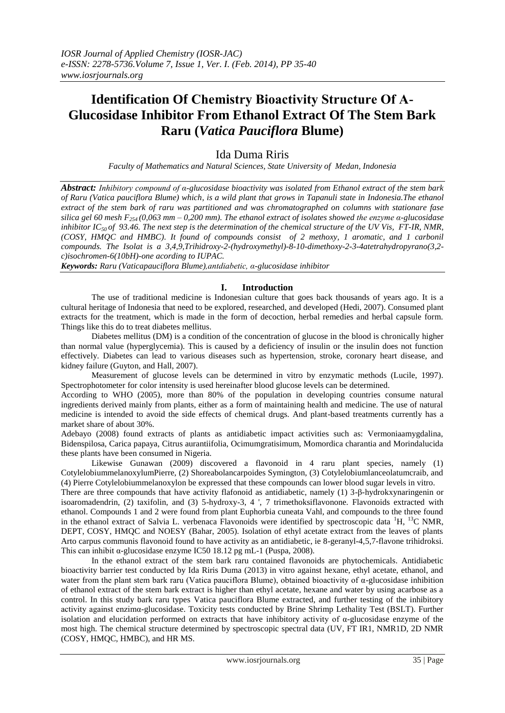# **Identification Of Chemistry Bioactivity Structure Of Α-Glucosidase Inhibitor From Ethanol Extract Of The Stem Bark Raru (***Vatica Pauciflora* **Blume)**

# Ida Duma Riris

*Faculty of Mathematics and Natural Sciences, State University of Medan, Indonesia*

*Abstract: Inhibitory compound of α-glucosidase bioactivity was isolated from Ethanol extract of the stem bark of Raru (Vatica pauciflora Blume) which, is a wild plant that grows in Tapanuli state in Indonesia.The ethanol extract of the stem bark of raru was partitioned and was chromatographed on columns with stationare fase silica gel 60 mesh F254 (0,063 mm – 0,200 mm). The ethanol extract of isolates showed the enzyme α-glucosidase inhibitor IC50 of 93.46. The next step is the determination of the chemical structure of the UV Vis, FT-IR, NMR, (COSY, HMQC and HMBC). It found of compounds consist of 2 methoxy, 1 aromatic, and 1 carbonil compounds. The Isolat is a 3,4,9,Trihidroxy-2-(hydroxymethyl)-8-10-dimethoxy-2-3-4atetrahydropyrano(3,2 c)isochromen-6(10bH)-one acording to IUPAC.* 

*Keywords: Raru (Vaticapauciflora Blume),antdiabetic, α-glucosidase inhibitor*

# **I. Introduction**

The use of traditional medicine is Indonesian culture that goes back thousands of years ago. It is a cultural heritage of Indonesia that need to be explored, researched, and developed (Hedi, 2007). Consumed plant extracts for the treatment, which is made in the form of decoction, herbal remedies and herbal capsule form. Things like this do to treat diabetes mellitus.

Diabetes mellitus (DM) is a condition of the concentration of glucose in the blood is chronically higher than normal value (hyperglycemia). This is caused by a deficiency of insulin or the insulin does not function effectively. Diabetes can lead to various diseases such as hypertension, stroke, coronary heart disease, and kidney failure (Guyton, and Hall, 2007).

Measurement of glucose levels can be determined in vitro by enzymatic methods (Lucile, 1997). Spectrophotometer for color intensity is used hereinafter blood glucose levels can be determined.

According to WHO (2005), more than 80% of the population in developing countries consume natural ingredients derived mainly from plants, either as a form of maintaining health and medicine. The use of natural medicine is intended to avoid the side effects of chemical drugs. And plant-based treatments currently has a market share of about 30%.

Adebayo (2008) found extracts of plants as antidiabetic impact activities such as: Vermoniaamygdalina, Bidenspilosa, Carica papaya, Citrus aurantiifolia, Ocimumgratisimum, Momordica charantia and Morindalucida these plants have been consumed in Nigeria.

Likewise Gunawan (2009) discovered a flavonoid in 4 raru plant species, namely (1) CotylelobiummelanoxylumPierre, (2) Shoreabolancarpoides Symington, (3) Cotylelobiumlanceolatumcraib, and (4) Pierre Cotylelobiummelanoxylon be expressed that these compounds can lower blood sugar levels in vitro.

There are three compounds that have activity flafonoid as antidiabetic, namely (1) 3-β-hydrokxynaringenin or isoaromadendrin, (2) taxifolin, and (3) 5-hydroxy-3, 4 ', 7 trimethoksiflavonone. Flavonoids extracted with ethanol. Compounds 1 and 2 were found from plant Euphorbia cuneata Vahl, and compounds to the three found in the ethanol extract of Salvia L. verbenaca Flavonoids were identified by spectroscopic data  ${}^{1}H$ ,  ${}^{13}C$  NMR, DEPT, COSY, HMQC and NOESY (Bahar, 2005). Isolation of ethyl acetate extract from the leaves of plants Arto carpus communis flavonoid found to have activity as an antidiabetic, ie 8-geranyl-4,5,7-flavone trihidroksi. This can inhibit α-glucosidase enzyme IC50 18.12 pg mL-1 (Puspa, 2008).

In the ethanol extract of the stem bark raru contained flavonoids are phytochemicals. Antidiabetic bioactivity barrier test conducted by Ida Riris Duma (2013) in vitro against hexane, ethyl acetate, ethanol, and water from the plant stem bark raru (Vatica pauciflora Blume), obtained bioactivity of  $\alpha$ -glucosidase inhibition of ethanol extract of the stem bark extract is higher than ethyl acetate, hexane and water by using acarbose as a control. In this study bark raru types Vatica pauciflora Blume extracted, and further testing of the inhibitory activity against enzimα-glucosidase. Toxicity tests conducted by Brine Shrimp Lethality Test (BSLT). Further isolation and elucidation performed on extracts that have inhibitory activity of  $\alpha$ -glucosidase enzyme of the most high. The chemical structure determined by spectroscopic spectral data (UV, FT IR1, NMR1D, 2D NMR (COSY, HMQC, HMBC), and HR MS.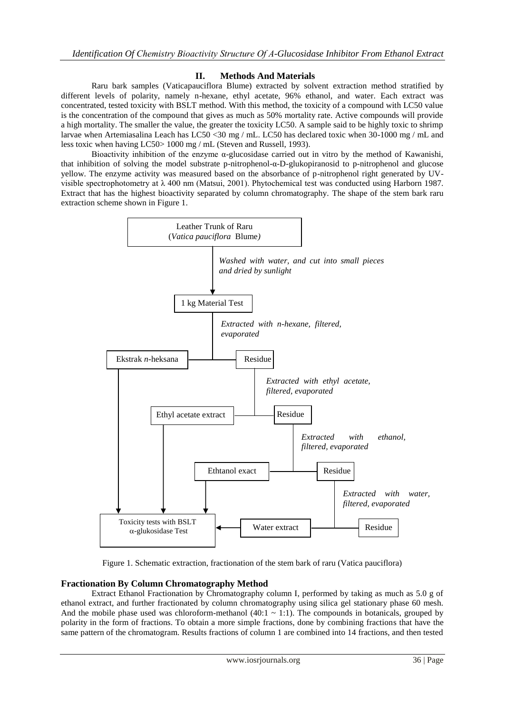# **II. Methods And Materials**

Raru bark samples (Vaticapauciflora Blume) extracted by solvent extraction method stratified by different levels of polarity, namely n-hexane, ethyl acetate, 96% ethanol, and water. Each extract was concentrated, tested toxicity with BSLT method. With this method, the toxicity of a compound with LC50 value is the concentration of the compound that gives as much as 50% mortality rate. Active compounds will provide a high mortality. The smaller the value, the greater the toxicity LC50. A sample said to be highly toxic to shrimp larvae when Artemiasalina Leach has LC50 <30 mg / mL. LC50 has declared toxic when 30-1000 mg / mL and less toxic when having LC50> 1000 mg / mL (Steven and Russell, 1993).

Bioactivity inhibition of the enzyme α-glucosidase carried out in vitro by the method of Kawanishi, that inhibition of solving the model substrate p-nitrophenol-α-D-glukopiranosid to p-nitrophenol and glucose yellow. The enzyme activity was measured based on the absorbance of p-nitrophenol right generated by UVvisible spectrophotometry at λ 400 nm (Matsui, 2001). Phytochemical test was conducted using Harborn 1987. Extract that has the highest bioactivity separated by column chromatography. The shape of the stem bark raru extraction scheme shown in Figure 1.



Figure 1. Schematic extraction, fractionation of the stem bark of raru (Vatica pauciflora)

#### **Fractionation By Column Chromatography Method**

Extract Ethanol Fractionation by Chromatography column I, performed by taking as much as 5.0 g of ethanol extract, and further fractionated by column chromatography using silica gel stationary phase 60 mesh. And the mobile phase used was chloroform-methanol  $(40:1 \sim 1:1)$ . The compounds in botanicals, grouped by polarity in the form of fractions. To obtain a more simple fractions, done by combining fractions that have the same pattern of the chromatogram. Results fractions of column 1 are combined into 14 fractions, and then tested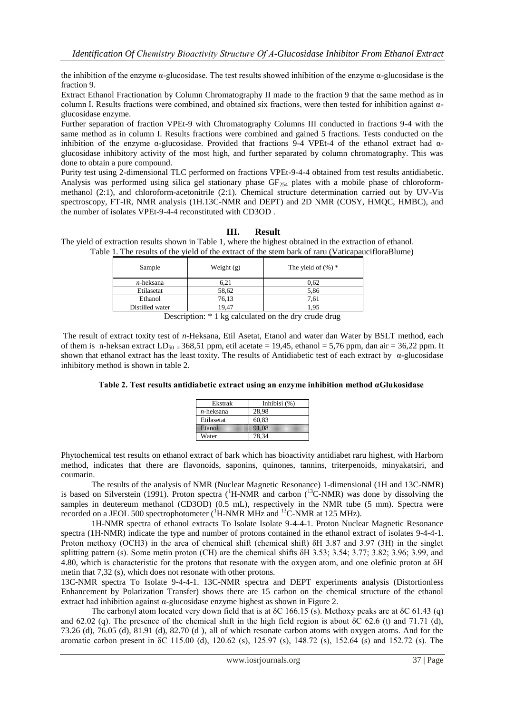the inhibition of the enzyme α-glucosidase. The test results showed inhibition of the enzyme α-glucosidase is the fraction 9.

Extract Ethanol Fractionation by Column Chromatography II made to the fraction 9 that the same method as in column I. Results fractions were combined, and obtained six fractions, were then tested for inhibition against  $\alpha$ glucosidase enzyme.

Further separation of fraction VPEt-9 with Chromatography Columns III conducted in fractions 9-4 with the same method as in column I. Results fractions were combined and gained 5 fractions. Tests conducted on the inhibition of the enzyme α-glucosidase. Provided that fractions 9-4 VPEt-4 of the ethanol extract had αglucosidase inhibitory activity of the most high, and further separated by column chromatography. This was done to obtain a pure compound.

Purity test using 2-dimensional TLC performed on fractions VPEt-9-4-4 obtained from test results antidiabetic. Analysis was performed using silica gel stationary phase  $GF_{254}$  plates with a mobile phase of chloroformmethanol (2:1), and chloroform-acetonitrile (2:1). Chemical structure determination carried out by UV-Vis spectroscopy, FT-IR, NMR analysis (1H.13C-NMR and DEPT) and 2D NMR (COSY, HMQC, HMBC), and the number of isolates VPEt-9-4-4 reconstituted with CD3OD .

# **III. Result**

The yield of extraction results shown in Table 1, where the highest obtained in the extraction of ethanol. Table 1. The results of the yield of the extract of the stem bark of raru (VaticapaucifloraBlume)

| Sample          | Weight $(g)$ | The yield of $(\%)$ * |
|-----------------|--------------|-----------------------|
| $n$ -heksana    | 6,21         | 0.62                  |
| Etilasetat      | 58,62        | 5,86                  |
| Ethanol         | 76,13        | 7,61                  |
| Distilled water | 19.47        | .95                   |
|                 |              |                       |

Description: \* 1 kg calculated on the dry crude drug

The result of extract toxity test of *n*-Heksana, Etil Asetat, Etanol and water dan Water by BSLT method, each of them is n-heksan extract  $LD_{50} = 368,51$  ppm, etil acetate = 19,45, ethanol = 5,76 ppm, dan air = 36,22 ppm. It shown that ethanol extract has the least toxity. The results of Antidiabetic test of each extract by  $\alpha$ -glucosidase inhibitory method is shown in table 2.

#### **Table 2. Test results antidiabetic extract using an enzyme inhibition method αGlukosidase**

| Ekstrak      | Inhibisi $(%)$ |
|--------------|----------------|
| $n$ -heksana | 28.98          |
| Etilasetat   | 60.83          |
| Brassi       |                |
| Water        | 78.34          |

Phytochemical test results on ethanol extract of bark which has bioactivity antidiabet raru highest, with Harborn method, indicates that there are flavonoids, saponins, quinones, tannins, triterpenoids, minyakatsiri, and coumarin.

The results of the analysis of NMR (Nuclear Magnetic Resonance) 1-dimensional (1H and 13C-NMR) is based on Silverstein (1991). Proton spectra ( ${}^{1}$ H-NMR and carbon ( ${}^{13}$ C-NMR) was done by dissolving the samples in deutereum methanol (CD3OD) (0.5 mL), respectively in the NMR tube (5 mm). Spectra were recorded on a JEOL 500 spectrophotometer  $({}^{1}H\text{-NMR}$  MHz and  $^{13}C\text{-NMR}$  at 125 MHz).

1H-NMR spectra of ethanol extracts To Isolate Isolate 9-4-4-1. Proton Nuclear Magnetic Resonance spectra (1H-NMR) indicate the type and number of protons contained in the ethanol extract of isolates 9-4-4-1. Proton methoxy (OCH3) in the area of chemical shift (chemical shift)  $\delta$ H 3.87 and 3.97 (3H) in the singlet splitting pattern (s). Some metin proton (CH) are the chemical shifts δH 3.53; 3.54; 3.77; 3.82; 3.96; 3.99, and 4.80, which is characteristic for the protons that resonate with the oxygen atom, and one olefinic proton at δH metin that 7,32 (s), which does not resonate with other protons.

13C-NMR spectra To Isolate 9-4-4-1. 13C-NMR spectra and DEPT experiments analysis (Distortionless Enhancement by Polarization Transfer) shows there are 15 carbon on the chemical structure of the ethanol extract had inhibition against α-glucosidase enzyme highest as shown in Figure 2.

The carbonyl atom located very down field that is at δC 166.15 (s). Methoxy peaks are at δC 61.43 (q) and 62.02 (q). The presence of the chemical shift in the high field region is about  $\delta$ C 62.6 (t) and 71.71 (d), 73.26 (d), 76.05 (d), 81.91 (d), 82.70 (d ), all of which resonate carbon atoms with oxygen atoms. And for the aromatic carbon present in δC 115.00 (d), 120.62 (s), 125.97 (s), 148.72 (s), 152.64 (s) and 152.72 (s). The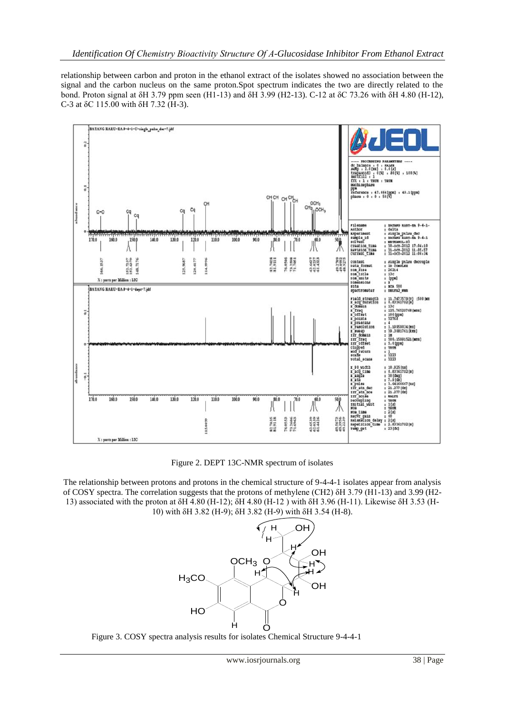relationship between carbon and proton in the ethanol extract of the isolates showed no association between the signal and the carbon nucleus on the same proton.Spot spectrum indicates the two are directly related to the bond. Proton signal at δH 3.79 ppm seen (H1-13) and δH 3.99 (H2-13). C-12 at δC 73.26 with δH 4.80 (H-12), C-3 at δC 115.00 with δH 7.32 (H-3).



Figure 2. DEPT 13C-NMR spectrum of isolates

The relationship between protons and protons in the chemical structure of 9-4-4-1 isolates appear from analysis of COSY spectra. The correlation suggests that the protons of methylene (CH2) δH 3.79 (H1-13) and 3.99 (H2- 13) associated with the proton at δH 4.80 (H-12); δH 4.80 (H-12 ) with δH 3.96 (H-11). Likewise δH 3.53 (H-10) with δH 3.82 (H-9); δH 3.82 (H-9) with δH 3.54 (H-8).



Figure 3. COSY spectra analysis results for isolates Chemical Structure 9-4-4-1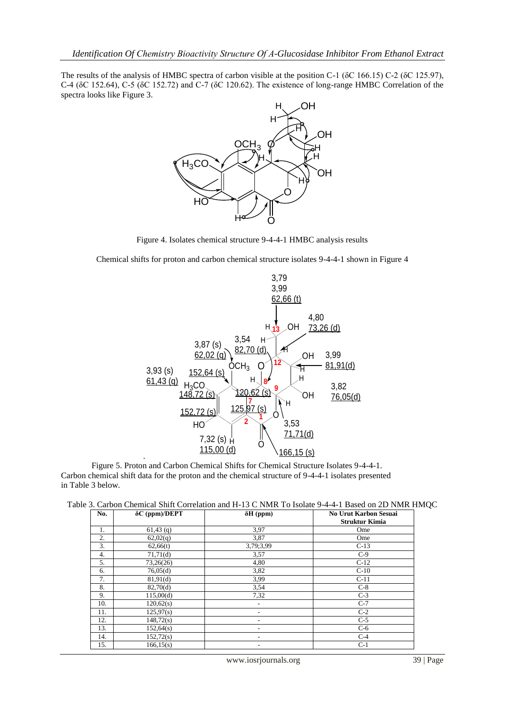The results of the analysis of HMBC spectra of carbon visible at the position C-1 (δC 166.15) C-2 (δC 125.97), C-4 (δC 152.64), C-5 (δC 152.72) and C-7 (δC 120.62). The existence of long-range HMBC Correlation of the spectra looks like Figure 3.



Figure 4. Isolates chemical structure 9-4-4-1 HMBC analysis results

Chemical shifts for proton and carbon chemical structure isolates 9-4-4-1 shown in Figure 4



Figure 5. Proton and Carbon Chemical Shifts for Chemical Structure Isolates 9-4-4-1. Carbon chemical shift data for the proton and the chemical structure of 9-4-4-1 isolates presented in Table 3 below.

|  |  |  |  |  | Table 3. Carbon Chemical Shift Correlation and H-13 C NMR To Isolate 9-4-4-1 Based on 2D NMR HMQC |  |
|--|--|--|--|--|---------------------------------------------------------------------------------------------------|--|
|--|--|--|--|--|---------------------------------------------------------------------------------------------------|--|

| No. | δC (ppm)/DEPT | $\delta H$ (ppm) | <b>No Urut Karbon Sesuai</b> |
|-----|---------------|------------------|------------------------------|
|     |               |                  | <b>Struktur Kimia</b>        |
| 1.  | $61,43$ (q)   | 3.97             | Ome                          |
| 2.  | 62,02(q)      | 3,87             | Ome                          |
| 3.  | 62,66(t)      | 3,79;3,99        | $C-13$                       |
| 4.  | 71,71(d)      | 3,57             | $C-9$                        |
| 5.  | 73,26(26)     | 4,80             | $C-12$                       |
| 6.  | 76,05(d)      | 3,82             | $C-10$                       |
| 7.  | 81,91(d)      | 3,99             | $C-11$                       |
| 8.  | 82,70(d)      | 3,54             | $C-8$                        |
| 9.  | 115,00(d)     | 7,32             | $C-3$                        |
| 10. | 120,62(s)     |                  | $C-7$                        |
| 11. | 125,97(s)     |                  | $C-2$                        |
| 12. | 148,72(s)     | ٠                | $C-5$                        |
| 13. | 152,64(s)     | ٠                | $C-6$                        |
| 14. | 152,72(s)     |                  | $C-4$                        |
| 15. | 166, 15(s)    |                  | $C-1$                        |